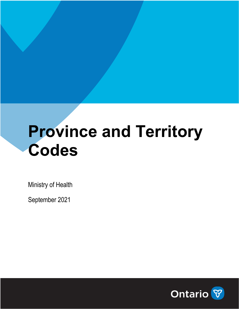## **Province and Territory Codes**

Ministry of Health

September 2021

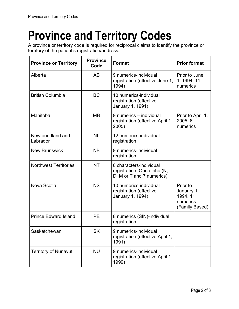## **Province and Territory Codes**

A province or territory code is required for reciprocal claims to identify the province or territory of the patient's registration/address.

| <b>Province or Territory</b> | <b>Province</b><br>Code | <b>Format</b>                                                                       | <b>Prior format</b>                                              |
|------------------------------|-------------------------|-------------------------------------------------------------------------------------|------------------------------------------------------------------|
| Alberta                      | AB                      | 9 numerics-individual<br>registration (effective June 1,<br>1994)                   | Prior to June<br>1, 1994, 11<br>numerics                         |
| <b>British Columbia</b>      | <b>BC</b>               | 10 numerics-individual<br>registration (effective<br>January 1, 1991)               |                                                                  |
| Manitoba                     | <b>MB</b>               | 9 numerics - individual<br>registration (effective April 1,<br>2005)                | Prior to April 1,<br>2005, 6<br>numerics                         |
| Newfoundland and<br>Labrador | <b>NL</b>               | 12 numerics-individual<br>registration                                              |                                                                  |
| <b>New Brunswick</b>         | <b>NB</b>               | 9 numerics-individual<br>registration                                               |                                                                  |
| <b>Northwest Territories</b> | <b>NT</b>               | 8 characters-individual<br>registration. One alpha (N,<br>D, M or T and 7 numerics) |                                                                  |
| Nova Scotia                  | <b>NS</b>               | 10 numerics-individual<br>registration (effective<br>January 1, 1994)               | Prior to<br>January 1,<br>1994, 11<br>numerics<br>(Family Based) |
| <b>Prince Edward Island</b>  | <b>PE</b>               | 8 numerics (SIN)-individual<br>registration                                         |                                                                  |
| Saskatchewan                 | <b>SK</b>               | 9 numerics-individual<br>registration (effective April 1,<br>1991)                  |                                                                  |
| <b>Territory of Nunavut</b>  | <b>NU</b>               | 9 numerics-individual<br>registration (effective April 1,<br>1999)                  |                                                                  |